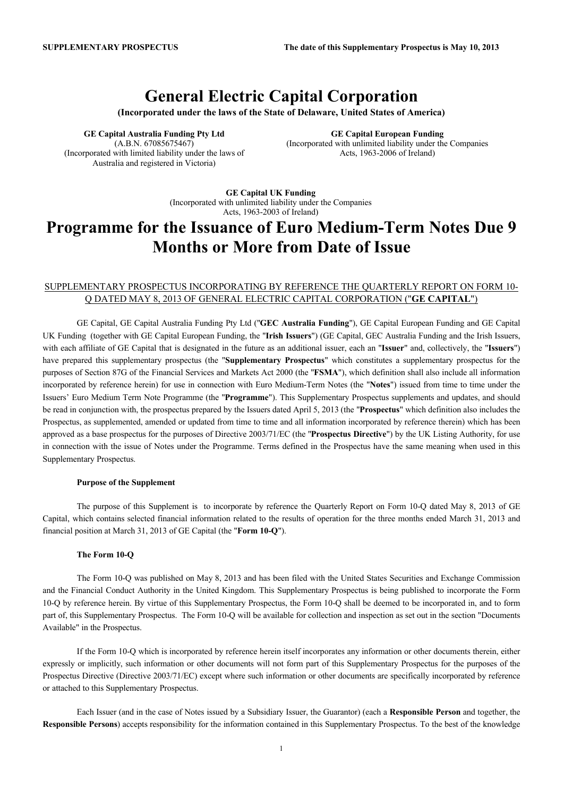# **General Electric Capital Corporation**

**(Incorporated under the laws of the State of Delaware, United States of America)**

**GE Capital Australia Funding Pty Ltd** (A.B.N. 67085675467) (Incorporated with limited liability under the laws of Australia and registered in Victoria)

**GE Capital European Funding** (Incorporated with unlimited liability under the Companies Acts, 1963-2006 of Ireland)

**GE Capital UK Funding** (Incorporated with unlimited liability under the Companies Acts, 1963-2003 of Ireland)

# **Programme for the Issuance of Euro Medium-Term Notes Due 9 Months or More from Date of Issue**

## SUPPLEMENTARY PROSPECTUS INCORPORATING BY REFERENCE THE QUARTERLY REPORT ON FORM 10- Q DATED MAY 8, 2013 OF GENERAL ELECTRIC CAPITAL CORPORATION ("**GE CAPITAL**")

GE Capital, GE Capital Australia Funding Pty Ltd ("**GEC Australia Funding**"), GE Capital European Funding and GE Capital UK Funding (together with GE Capital European Funding, the "**Irish Issuers**") (GE Capital, GEC Australia Funding and the Irish Issuers, with each affiliate of GE Capital that is designated in the future as an additional issuer, each an "**Issuer**" and, collectively, the "**Issuers**") have prepared this supplementary prospectus (the "**Supplementary Prospectus**" which constitutes a supplementary prospectus for the purposes of Section 87G of the Financial Services and Markets Act 2000 (the "**FSMA**"), which definition shall also include all information incorporated by reference herein) for use in connection with Euro Medium-Term Notes (the "**Notes**") issued from time to time under the Issuers' Euro Medium Term Note Programme (the "**Programme**"). This Supplementary Prospectus supplements and updates, and should be read in conjunction with, the prospectus prepared by the Issuers dated April 5, 2013 (the "**Prospectus**" which definition also includes the Prospectus, as supplemented, amended or updated from time to time and all information incorporated by reference therein) which has been approved as a base prospectus for the purposes of Directive 2003/71/EC (the "**Prospectus Directive**") by the UK Listing Authority, for use in connection with the issue of Notes under the Programme. Terms defined in the Prospectus have the same meaning when used in this Supplementary Prospectus.

### **Purpose of the Supplement**

The purpose of this Supplement is to incorporate by reference the Quarterly Report on Form 10-Q dated May 8, 2013 of GE Capital, which contains selected financial information related to the results of operation for the three months ended March 31, 2013 and financial position at March 31, 2013 of GE Capital (the "**Form 10-Q**").

#### **The Form 10-Q**

The Form 10-Q was published on May 8, 2013 and has been filed with the United States Securities and Exchange Commission and the Financial Conduct Authority in the United Kingdom. This Supplementary Prospectus is being published to incorporate the Form 10-Q by reference herein. By virtue of this Supplementary Prospectus, the Form 10-Q shall be deemed to be incorporated in, and to form part of, this Supplementary Prospectus. The Form 10-Q will be available for collection and inspection as set out in the section "Documents Available" in the Prospectus.

If the Form 10-Q which is incorporated by reference herein itself incorporates any information or other documents therein, either expressly or implicitly, such information or other documents will not form part of this Supplementary Prospectus for the purposes of the Prospectus Directive (Directive 2003/71/EC) except where such information or other documents are specifically incorporated by reference or attached to this Supplementary Prospectus.

Each Issuer (and in the case of Notes issued by a Subsidiary Issuer, the Guarantor) (each a **Responsible Person** and together, the **Responsible Persons**) accepts responsibility for the information contained in this Supplementary Prospectus. To the best of the knowledge